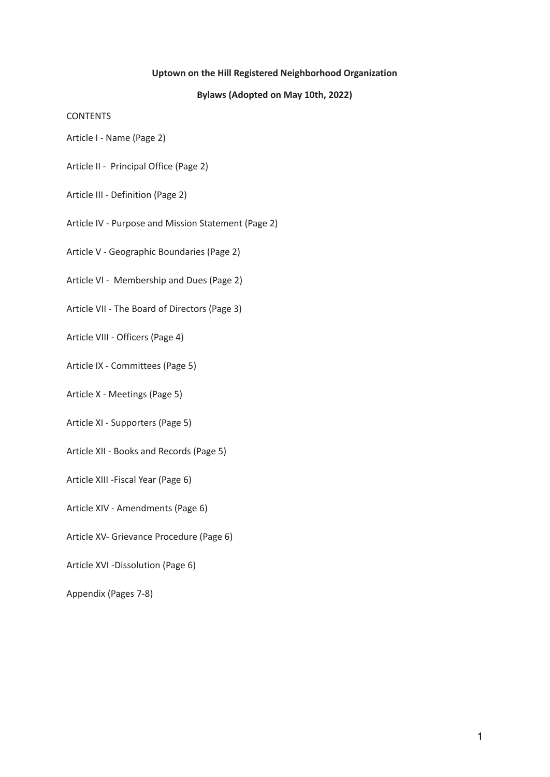#### **Uptown on the Hill Registered Neighborhood Organization**

#### **Bylaws (Adopted on May 10th, 2022)**

#### **CONTENTS**

- Article I Name (Page 2)
- Article II Principal Office (Page 2)
- Article III Definition (Page 2)
- Article IV Purpose and Mission Statement (Page 2)
- Article V Geographic Boundaries (Page 2)
- Article VI Membership and Dues (Page 2)
- Article VII The Board of Directors (Page 3)
- Article VIII Officers (Page 4)
- Article IX Committees (Page 5)
- Article X Meetings (Page 5)
- Article XI Supporters (Page 5)
- Article XII Books and Records (Page 5)
- Article XIII -Fiscal Year (Page 6)
- Article XIV Amendments (Page 6)
- Article XV- Grievance Procedure (Page 6)
- Article XVI -Dissolution (Page 6)
- Appendix (Pages 7-8)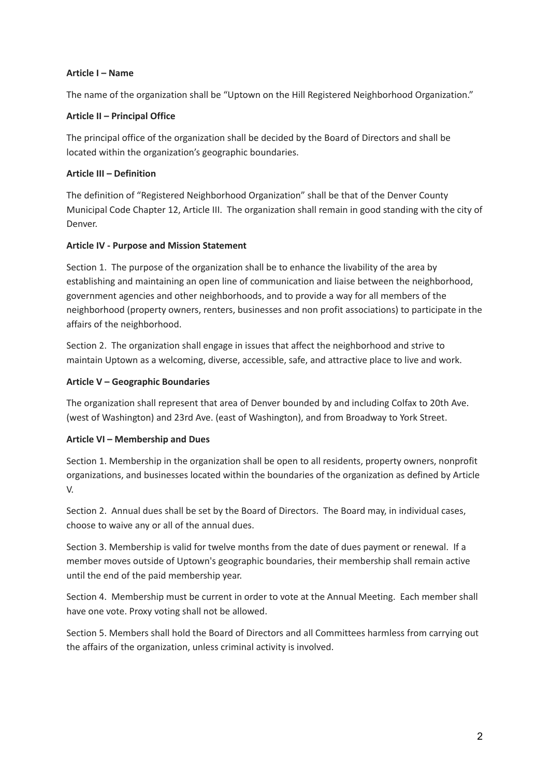### **Article I – Name**

The name of the organization shall be "Uptown on the Hill Registered Neighborhood Organization."

# **Article II – Principal Office**

The principal office of the organization shall be decided by the Board of Directors and shall be located within the organization's geographic boundaries.

# **Article III – Definition**

The definition of "Registered Neighborhood Organization" shall be that of the Denver County Municipal Code Chapter 12, Article III. The organization shall remain in good standing with the city of Denver.

# **Article IV - Purpose and Mission Statement**

Section 1. The purpose of the organization shall be to enhance the livability of the area by establishing and maintaining an open line of communication and liaise between the neighborhood, government agencies and other neighborhoods, and to provide a way for all members of the neighborhood (property owners, renters, businesses and non profit associations) to participate in the affairs of the neighborhood.

Section 2. The organization shall engage in issues that affect the neighborhood and strive to maintain Uptown as a welcoming, diverse, accessible, safe, and attractive place to live and work.

# **Article V – Geographic Boundaries**

The organization shall represent that area of Denver bounded by and including Colfax to 20th Ave. (west of Washington) and 23rd Ave. (east of Washington), and from Broadway to York Street.

## **Article VI – Membership and Dues**

Section 1. Membership in the organization shall be open to all residents, property owners, nonprofit organizations, and businesses located within the boundaries of the organization as defined by Article V.

Section 2. Annual dues shall be set by the Board of Directors. The Board may, in individual cases, choose to waive any or all of the annual dues.

Section 3. Membership is valid for twelve months from the date of dues payment or renewal. If a member moves outside of Uptown's geographic boundaries, their membership shall remain active until the end of the paid membership year.

Section 4. Membership must be current in order to vote at the Annual Meeting. Each member shall have one vote. Proxy voting shall not be allowed.

Section 5. Members shall hold the Board of Directors and all Committees harmless from carrying out the affairs of the organization, unless criminal activity is involved.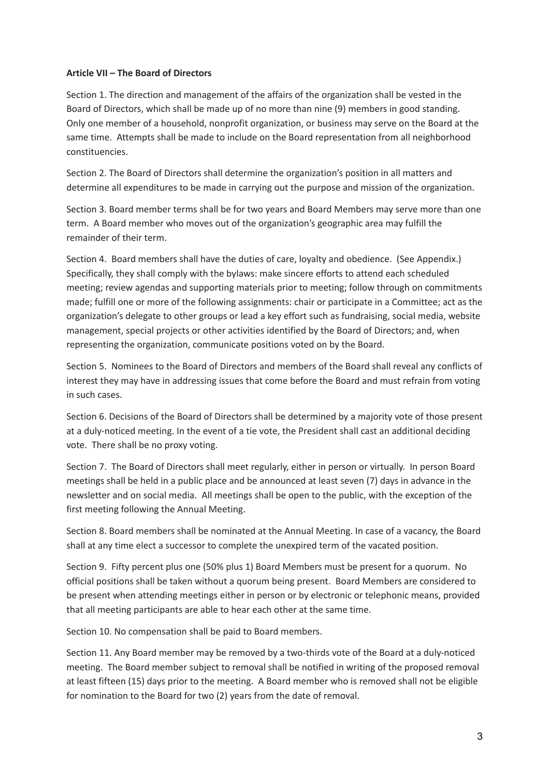### **Article VII – The Board of Directors**

Section 1. The direction and management of the affairs of the organization shall be vested in the Board of Directors, which shall be made up of no more than nine (9) members in good standing. Only one member of a household, nonprofit organization, or business may serve on the Board at the same time. Attempts shall be made to include on the Board representation from all neighborhood constituencies.

Section 2. The Board of Directors shall determine the organization's position in all matters and determine all expenditures to be made in carrying out the purpose and mission of the organization.

Section 3. Board member terms shall be for two years and Board Members may serve more than one term. A Board member who moves out of the organization's geographic area may fulfill the remainder of their term.

Section 4. Board members shall have the duties of care, loyalty and obedience. (See Appendix.) Specifically, they shall comply with the bylaws: make sincere efforts to attend each scheduled meeting; review agendas and supporting materials prior to meeting; follow through on commitments made; fulfill one or more of the following assignments: chair or participate in a Committee; act as the organization's delegate to other groups or lead a key effort such as fundraising, social media, website management, special projects or other activities identified by the Board of Directors; and, when representing the organization, communicate positions voted on by the Board.

Section 5. Nominees to the Board of Directors and members of the Board shall reveal any conflicts of interest they may have in addressing issues that come before the Board and must refrain from voting in such cases.

Section 6. Decisions of the Board of Directors shall be determined by a majority vote of those present at a duly-noticed meeting. In the event of a tie vote, the President shall cast an additional deciding vote. There shall be no proxy voting.

Section 7. The Board of Directors shall meet regularly, either in person or virtually. In person Board meetings shall be held in a public place and be announced at least seven (7) days in advance in the newsletter and on social media. All meetings shall be open to the public, with the exception of the first meeting following the Annual Meeting.

Section 8. Board members shall be nominated at the Annual Meeting. In case of a vacancy, the Board shall at any time elect a successor to complete the unexpired term of the vacated position.

Section 9. Fifty percent plus one (50% plus 1) Board Members must be present for a quorum. No official positions shall be taken without a quorum being present. Board Members are considered to be present when attending meetings either in person or by electronic or telephonic means, provided that all meeting participants are able to hear each other at the same time.

Section 10. No compensation shall be paid to Board members.

Section 11. Any Board member may be removed by a two-thirds vote of the Board at a duly-noticed meeting. The Board member subject to removal shall be notified in writing of the proposed removal at least fifteen (15) days prior to the meeting. A Board member who is removed shall not be eligible for nomination to the Board for two (2) years from the date of removal.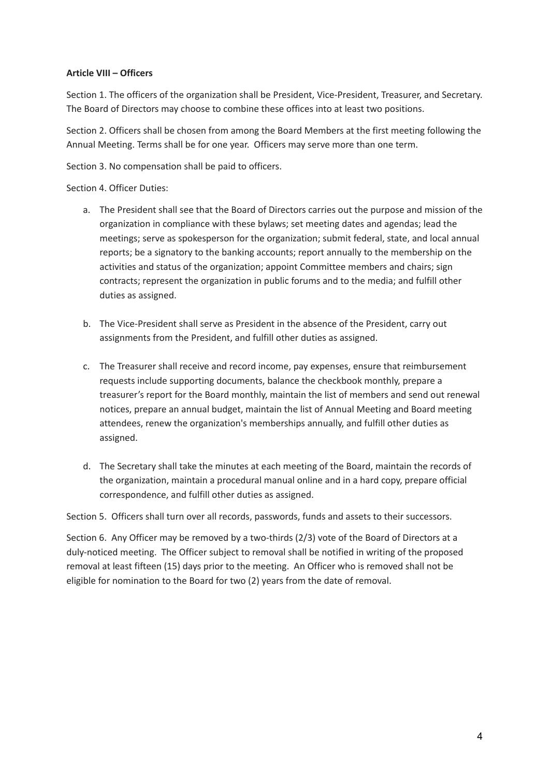## **Article VIII – Officers**

Section 1. The officers of the organization shall be President, Vice-President, Treasurer, and Secretary. The Board of Directors may choose to combine these offices into at least two positions.

Section 2. Officers shall be chosen from among the Board Members at the first meeting following the Annual Meeting. Terms shall be for one year. Officers may serve more than one term.

Section 3. No compensation shall be paid to officers.

Section 4. Officer Duties:

- a. The President shall see that the Board of Directors carries out the purpose and mission of the organization in compliance with these bylaws; set meeting dates and agendas; lead the meetings; serve as spokesperson for the organization; submit federal, state, and local annual reports; be a signatory to the banking accounts; report annually to the membership on the activities and status of the organization; appoint Committee members and chairs; sign contracts; represent the organization in public forums and to the media; and fulfill other duties as assigned.
- b. The Vice-President shall serve as President in the absence of the President, carry out assignments from the President, and fulfill other duties as assigned.
- c. The Treasurer shall receive and record income, pay expenses, ensure that reimbursement requests include supporting documents, balance the checkbook monthly, prepare a treasurer's report for the Board monthly, maintain the list of members and send out renewal notices, prepare an annual budget, maintain the list of Annual Meeting and Board meeting attendees, renew the organization's memberships annually, and fulfill other duties as assigned.
- d. The Secretary shall take the minutes at each meeting of the Board, maintain the records of the organization, maintain a procedural manual online and in a hard copy, prepare official correspondence, and fulfill other duties as assigned.

Section 5. Officers shall turn over all records, passwords, funds and assets to their successors.

Section 6. Any Officer may be removed by a two-thirds (2/3) vote of the Board of Directors at a duly-noticed meeting. The Officer subject to removal shall be notified in writing of the proposed removal at least fifteen (15) days prior to the meeting. An Officer who is removed shall not be eligible for nomination to the Board for two (2) years from the date of removal.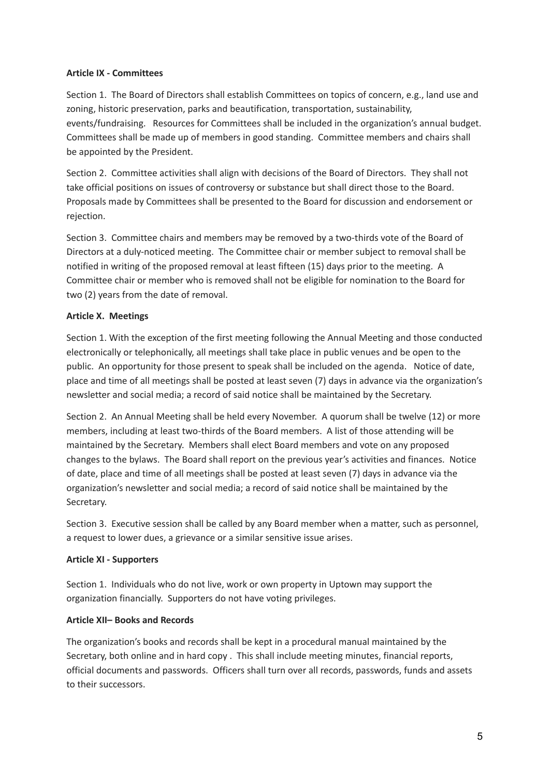## **Article IX - Committees**

Section 1. The Board of Directors shall establish Committees on topics of concern, e.g., land use and zoning, historic preservation, parks and beautification, transportation, sustainability, events/fundraising. Resources for Committees shall be included in the organization's annual budget. Committees shall be made up of members in good standing. Committee members and chairs shall be appointed by the President.

Section 2. Committee activities shall align with decisions of the Board of Directors. They shall not take official positions on issues of controversy or substance but shall direct those to the Board. Proposals made by Committees shall be presented to the Board for discussion and endorsement or rejection.

Section 3. Committee chairs and members may be removed by a two-thirds vote of the Board of Directors at a duly-noticed meeting. The Committee chair or member subject to removal shall be notified in writing of the proposed removal at least fifteen (15) days prior to the meeting. A Committee chair or member who is removed shall not be eligible for nomination to the Board for two (2) years from the date of removal.

## **Article X. Meetings**

Section 1. With the exception of the first meeting following the Annual Meeting and those conducted electronically or telephonically, all meetings shall take place in public venues and be open to the public. An opportunity for those present to speak shall be included on the agenda. Notice of date, place and time of all meetings shall be posted at least seven (7) days in advance via the organization's newsletter and social media; a record of said notice shall be maintained by the Secretary.

Section 2. An Annual Meeting shall be held every November. A quorum shall be twelve (12) or more members, including at least two-thirds of the Board members. A list of those attending will be maintained by the Secretary. Members shall elect Board members and vote on any proposed changes to the bylaws. The Board shall report on the previous year's activities and finances. Notice of date, place and time of all meetings shall be posted at least seven (7) days in advance via the organization's newsletter and social media; a record of said notice shall be maintained by the Secretary.

Section 3. Executive session shall be called by any Board member when a matter, such as personnel, a request to lower dues, a grievance or a similar sensitive issue arises.

## **Article XI - Supporters**

Section 1. Individuals who do not live, work or own property in Uptown may support the organization financially. Supporters do not have voting privileges.

#### **Article XII– Books and Records**

The organization's books and records shall be kept in a procedural manual maintained by the Secretary, both online and in hard copy . This shall include meeting minutes, financial reports, official documents and passwords. Officers shall turn over all records, passwords, funds and assets to their successors.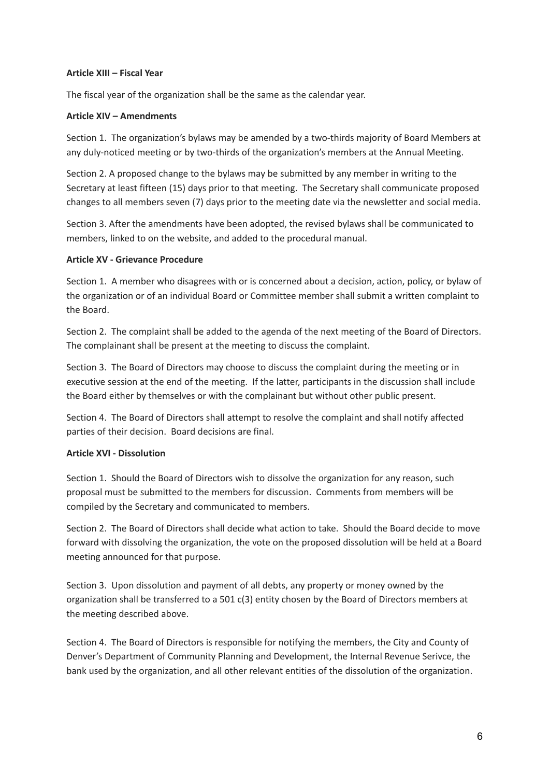### **Article XIII – Fiscal Year**

The fiscal year of the organization shall be the same as the calendar year.

## **Article XIV – Amendments**

Section 1. The organization's bylaws may be amended by a two-thirds majority of Board Members at any duly-noticed meeting or by two-thirds of the organization's members at the Annual Meeting.

Section 2. A proposed change to the bylaws may be submitted by any member in writing to the Secretary at least fifteen (15) days prior to that meeting. The Secretary shall communicate proposed changes to all members seven (7) days prior to the meeting date via the newsletter and social media.

Section 3. After the amendments have been adopted, the revised bylaws shall be communicated to members, linked to on the website, and added to the procedural manual.

## **Article XV - Grievance Procedure**

Section 1. A member who disagrees with or is concerned about a decision, action, policy, or bylaw of the organization or of an individual Board or Committee member shall submit a written complaint to the Board.

Section 2. The complaint shall be added to the agenda of the next meeting of the Board of Directors. The complainant shall be present at the meeting to discuss the complaint.

Section 3. The Board of Directors may choose to discuss the complaint during the meeting or in executive session at the end of the meeting. If the latter, participants in the discussion shall include the Board either by themselves or with the complainant but without other public present.

Section 4. The Board of Directors shall attempt to resolve the complaint and shall notify affected parties of their decision. Board decisions are final.

## **Article XVI - Dissolution**

Section 1. Should the Board of Directors wish to dissolve the organization for any reason, such proposal must be submitted to the members for discussion. Comments from members will be compiled by the Secretary and communicated to members.

Section 2. The Board of Directors shall decide what action to take. Should the Board decide to move forward with dissolving the organization, the vote on the proposed dissolution will be held at a Board meeting announced for that purpose.

Section 3. Upon dissolution and payment of all debts, any property or money owned by the organization shall be transferred to a 501 c(3) entity chosen by the Board of Directors members at the meeting described above.

Section 4. The Board of Directors is responsible for notifying the members, the City and County of Denver's Department of Community Planning and Development, the Internal Revenue Serivce, the bank used by the organization, and all other relevant entities of the dissolution of the organization.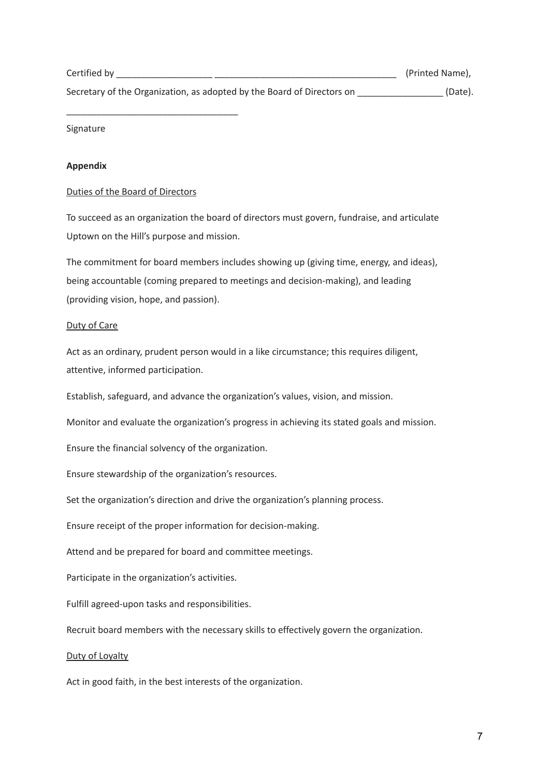| Certified by                                                           | (Printed Name), |
|------------------------------------------------------------------------|-----------------|
| Secretary of the Organization, as adopted by the Board of Directors on | (Date).         |
|                                                                        |                 |

Signature

### **Appendix**

#### Duties of the Board of Directors

To succeed as an organization the board of directors must govern, fundraise, and articulate Uptown on the Hill's purpose and mission.

The commitment for board members includes showing up (giving time, energy, and ideas), being accountable (coming prepared to meetings and decision-making), and leading (providing vision, hope, and passion).

#### Duty of Care

Act as an ordinary, prudent person would in a like circumstance; this requires diligent, attentive, informed participation.

Establish, safeguard, and advance the organization's values, vision, and mission.

Monitor and evaluate the organization's progress in achieving its stated goals and mission.

Ensure the financial solvency of the organization.

Ensure stewardship of the organization's resources.

Set the organization's direction and drive the organization's planning process.

Ensure receipt of the proper information for decision-making.

Attend and be prepared for board and committee meetings.

Participate in the organization's activities.

Fulfill agreed-upon tasks and responsibilities.

Recruit board members with the necessary skills to effectively govern the organization.

#### Duty of Loyalty

Act in good faith, in the best interests of the organization.